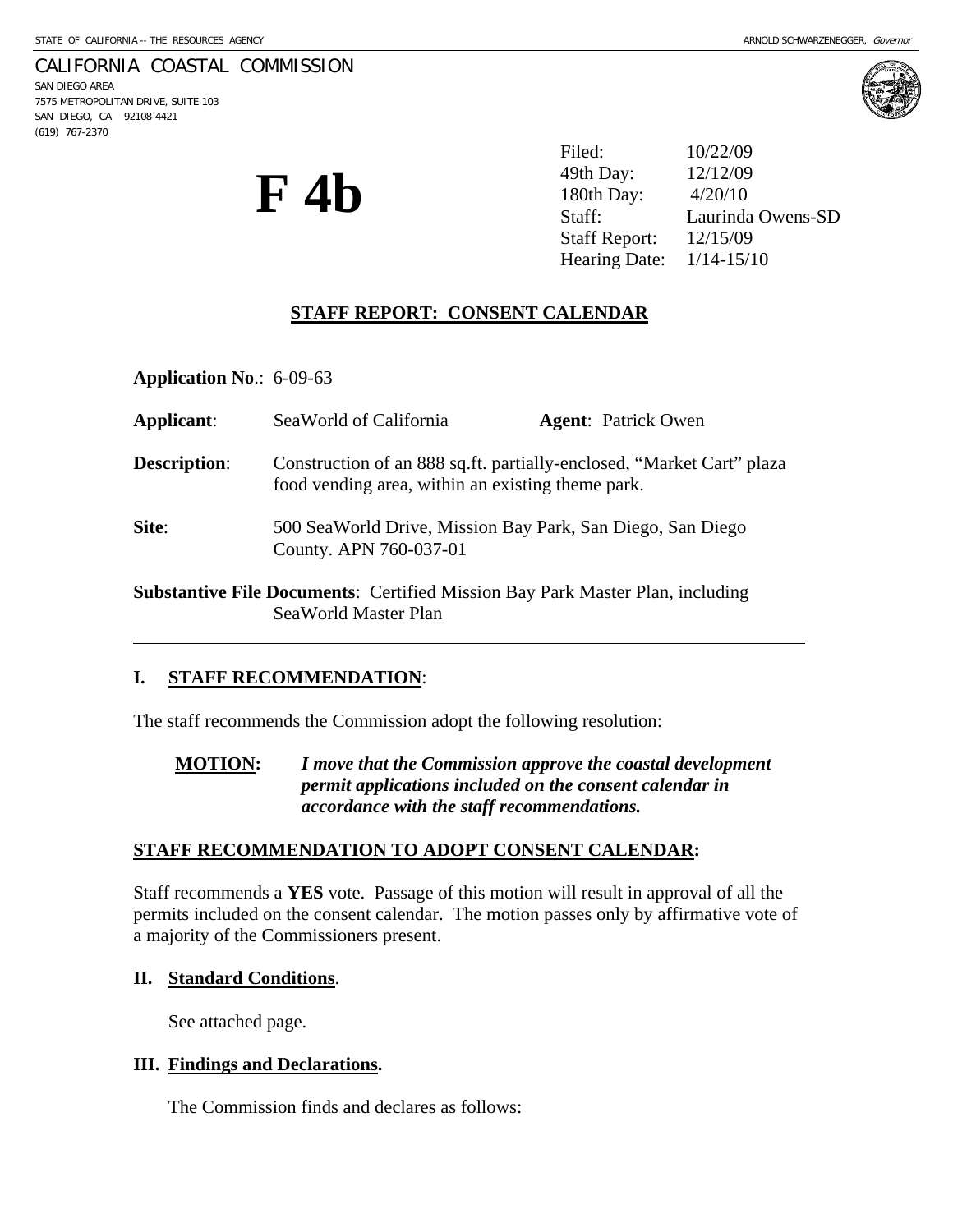## CALIFORNIA COASTAL COMMISSION

SAN DIEGO AREA 7575 METROPOLITAN DRIVE, SUITE 103 SAN DIEGO, CA 92108-4421 (619) 767-2370

l



**F 4b** 

Filed: 10/22/09 49th Day: 12/12/09 180th Day: 4/20/10 Staff: Laurinda Owens-SD Staff Report: 12/15/09 Hearing Date: 1/14-15/10

# **STAFF REPORT: CONSENT CALENDAR**

**Application No**.: 6-09-63

| Applicant:          | SeaWorld of California                                                                                                     | <b>Agent:</b> Patrick Owen |
|---------------------|----------------------------------------------------------------------------------------------------------------------------|----------------------------|
| <b>Description:</b> | Construction of an 888 sq.ft. partially-enclosed, "Market Cart" plaza<br>food vending area, within an existing theme park. |                            |
| Site:               | 500 SeaWorld Drive, Mission Bay Park, San Diego, San Diego<br>County. APN 760-037-01                                       |                            |
|                     | <b>Substantive File Documents:</b> Certified Mission Bay Park Master Plan, including                                       |                            |

### **I. STAFF RECOMMENDATION**:

The staff recommends the Commission adopt the following resolution:

SeaWorld Master Plan

**MOTION:** *I move that the Commission approve the coastal development permit applications included on the consent calendar in accordance with the staff recommendations.* 

### **STAFF RECOMMENDATION TO ADOPT CONSENT CALENDAR:**

Staff recommends a **YES** vote. Passage of this motion will result in approval of all the permits included on the consent calendar. The motion passes only by affirmative vote of a majority of the Commissioners present.

#### **II. Standard Conditions**.

See attached page.

#### **III. Findings and Declarations.**

The Commission finds and declares as follows: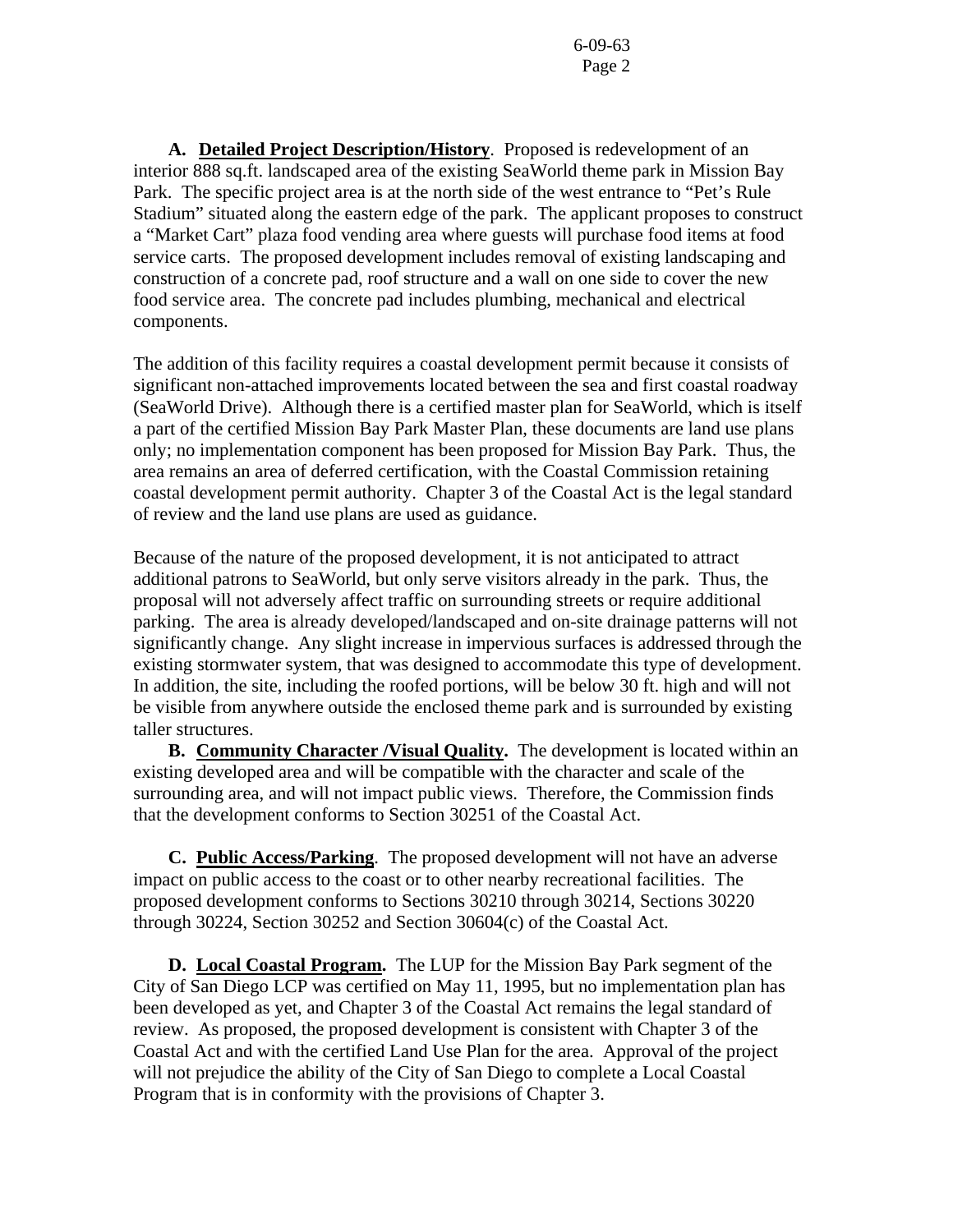**A. Detailed Project Description/History**. Proposed is redevelopment of an interior 888 sq.ft. landscaped area of the existing SeaWorld theme park in Mission Bay Park. The specific project area is at the north side of the west entrance to "Pet's Rule Stadium" situated along the eastern edge of the park. The applicant proposes to construct a "Market Cart" plaza food vending area where guests will purchase food items at food service carts. The proposed development includes removal of existing landscaping and construction of a concrete pad, roof structure and a wall on one side to cover the new food service area. The concrete pad includes plumbing, mechanical and electrical components.

The addition of this facility requires a coastal development permit because it consists of significant non-attached improvements located between the sea and first coastal roadway (SeaWorld Drive). Although there is a certified master plan for SeaWorld, which is itself a part of the certified Mission Bay Park Master Plan, these documents are land use plans only; no implementation component has been proposed for Mission Bay Park. Thus, the area remains an area of deferred certification, with the Coastal Commission retaining coastal development permit authority. Chapter 3 of the Coastal Act is the legal standard of review and the land use plans are used as guidance.

Because of the nature of the proposed development, it is not anticipated to attract additional patrons to SeaWorld, but only serve visitors already in the park. Thus, the proposal will not adversely affect traffic on surrounding streets or require additional parking. The area is already developed/landscaped and on-site drainage patterns will not significantly change. Any slight increase in impervious surfaces is addressed through the existing stormwater system, that was designed to accommodate this type of development. In addition, the site, including the roofed portions, will be below 30 ft. high and will not be visible from anywhere outside the enclosed theme park and is surrounded by existing taller structures.

 **B. Community Character /Visual Quality.** The development is located within an existing developed area and will be compatible with the character and scale of the surrounding area, and will not impact public views. Therefore, the Commission finds that the development conforms to Section 30251 of the Coastal Act.

**C. Public Access/Parking**. The proposed development will not have an adverse impact on public access to the coast or to other nearby recreational facilities. The proposed development conforms to Sections 30210 through 30214, Sections 30220 through 30224, Section 30252 and Section 30604(c) of the Coastal Act.

 **D. Local Coastal Program.** The LUP for the Mission Bay Park segment of the City of San Diego LCP was certified on May 11, 1995, but no implementation plan has been developed as yet, and Chapter 3 of the Coastal Act remains the legal standard of review. As proposed, the proposed development is consistent with Chapter 3 of the Coastal Act and with the certified Land Use Plan for the area. Approval of the project will not prejudice the ability of the City of San Diego to complete a Local Coastal Program that is in conformity with the provisions of Chapter 3.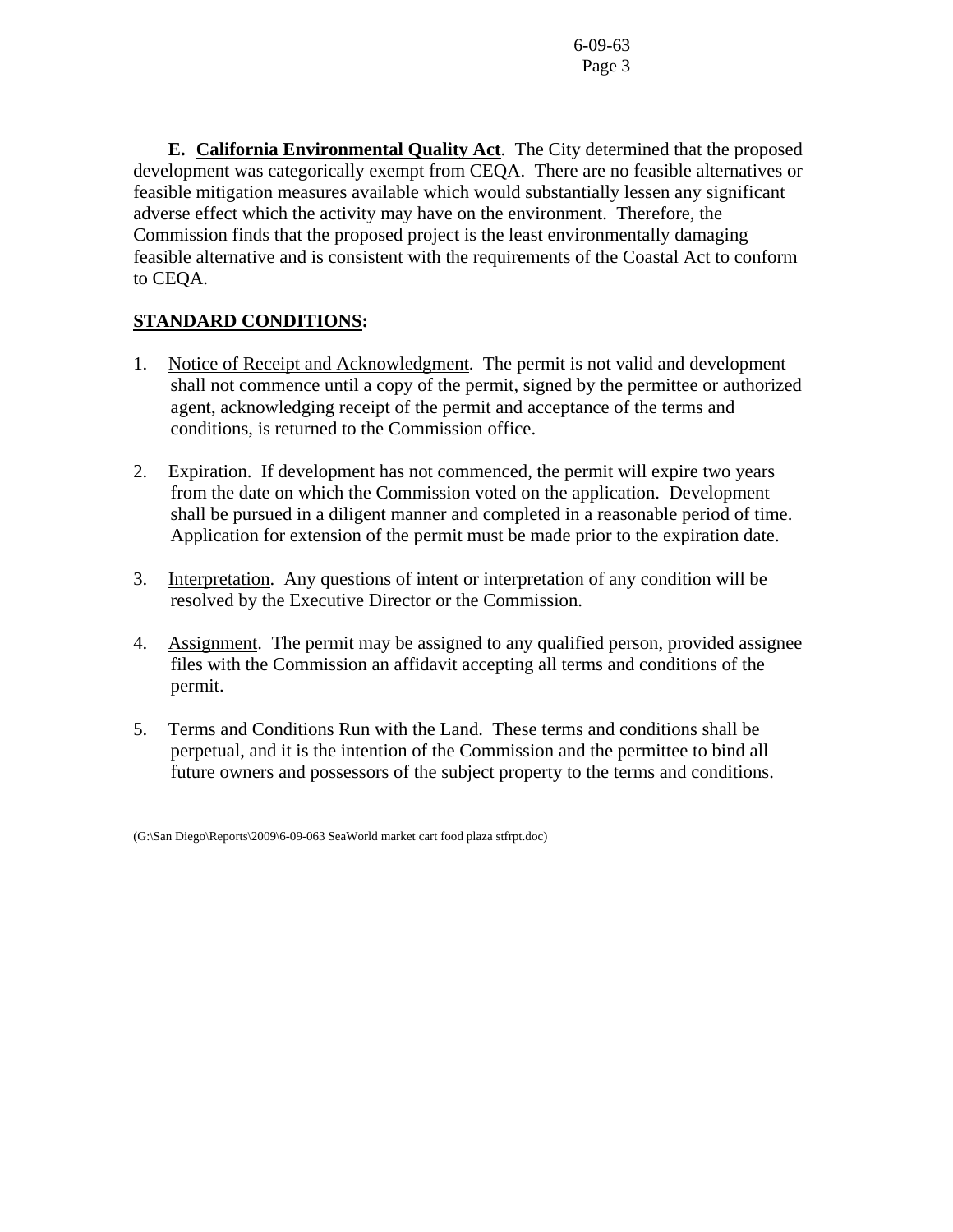6-09-63 Page 3

 **E. California Environmental Quality Act**. The City determined that the proposed development was categorically exempt from CEQA. There are no feasible alternatives or feasible mitigation measures available which would substantially lessen any significant adverse effect which the activity may have on the environment. Therefore, the Commission finds that the proposed project is the least environmentally damaging feasible alternative and is consistent with the requirements of the Coastal Act to conform to CEQA.

# **STANDARD CONDITIONS:**

- 1. Notice of Receipt and Acknowledgment. The permit is not valid and development shall not commence until a copy of the permit, signed by the permittee or authorized agent, acknowledging receipt of the permit and acceptance of the terms and conditions, is returned to the Commission office.
- 2. Expiration. If development has not commenced, the permit will expire two years from the date on which the Commission voted on the application. Development shall be pursued in a diligent manner and completed in a reasonable period of time. Application for extension of the permit must be made prior to the expiration date.
- 3. Interpretation. Any questions of intent or interpretation of any condition will be resolved by the Executive Director or the Commission.
- 4. Assignment. The permit may be assigned to any qualified person, provided assignee files with the Commission an affidavit accepting all terms and conditions of the permit.
- 5. Terms and Conditions Run with the Land. These terms and conditions shall be perpetual, and it is the intention of the Commission and the permittee to bind all future owners and possessors of the subject property to the terms and conditions.

(G:\San Diego\Reports\2009\6-09-063 SeaWorld market cart food plaza stfrpt.doc)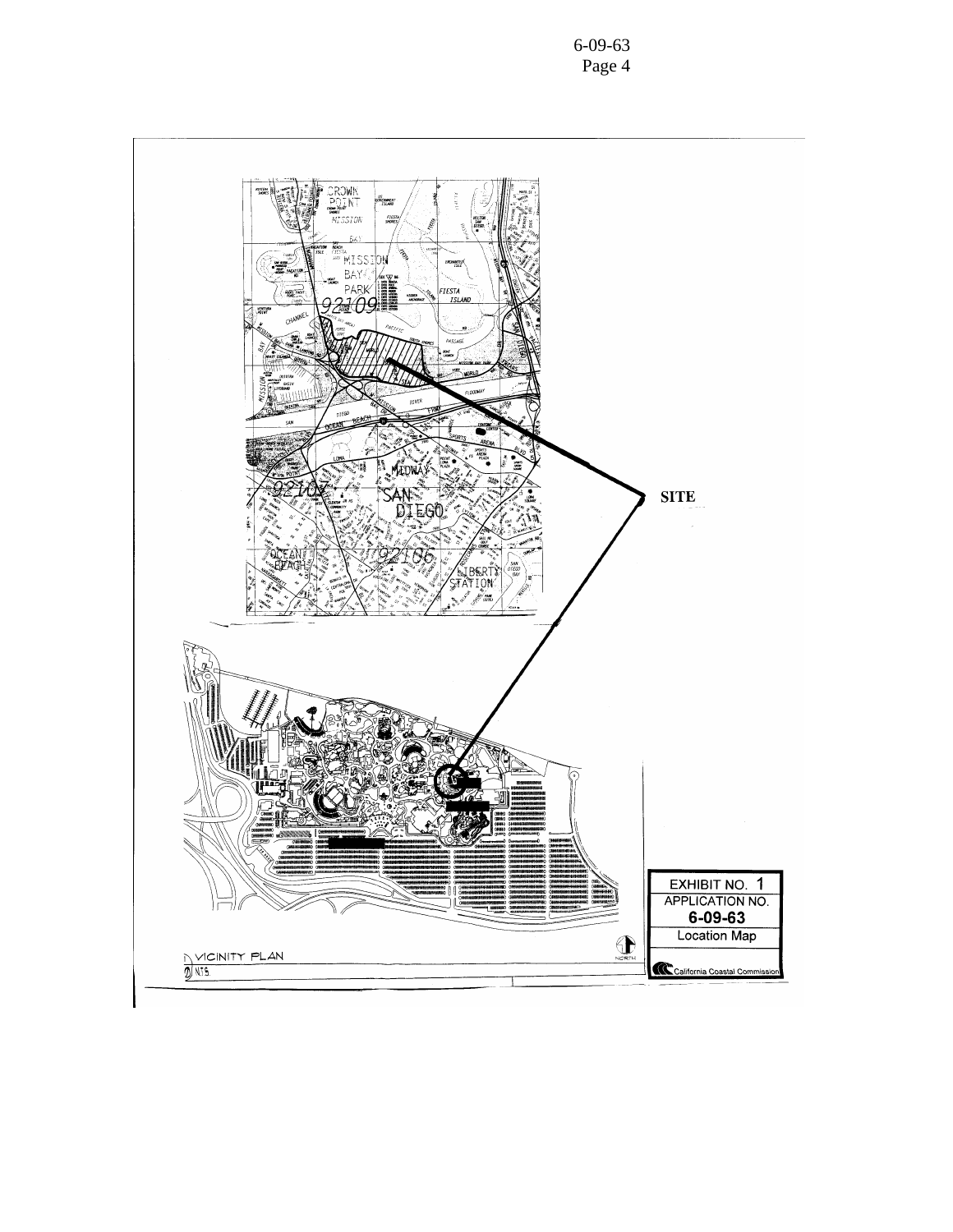6-09-63 Page 4